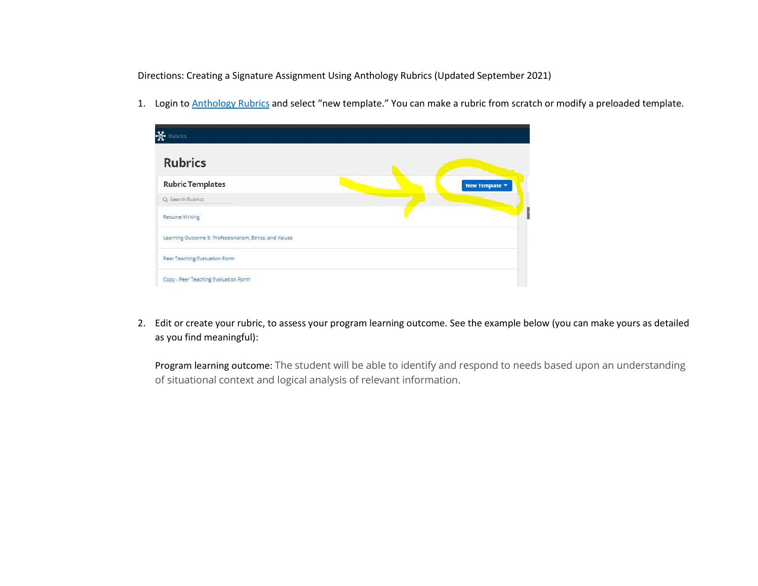Directions: Creating a Signature Assignment Using Anthology Rubrics (Updated September 2021)

1. Login to **Anthology Rubrics** and select "new template." You can make a rubric from scratch or modify a preloaded template.

| 뇫.<br>Rubrics                                           |                |
|---------------------------------------------------------|----------------|
| <b>Rubrics</b>                                          |                |
| <b>Rubric Templates</b>                                 | New Template ▼ |
| Q Search Rubrics                                        |                |
| <b>Resume Writing</b>                                   |                |
| Learning Outcome 5: Professionalism, Ethics, and Values |                |
| Peer Teaching Evaluation Form                           |                |
| Copy - Peer Teaching Evaluation Form                    |                |

2. Edit or create your rubric, to assess your program learning outcome. See the example below (you can make yours as detailed as you find meaningful):

Program learning outcome: The student will be able to identify and respond to needs based upon an understanding of situational context and logical analysis of relevant information.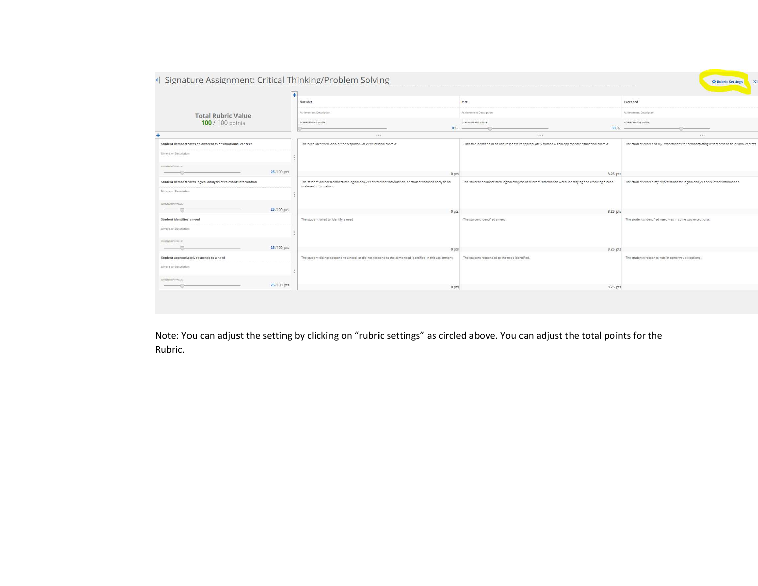|                                                               |            | Not Met                                                                                                   |                | Met                                                                                                      |      | Exceeded                                                                                  |
|---------------------------------------------------------------|------------|-----------------------------------------------------------------------------------------------------------|----------------|----------------------------------------------------------------------------------------------------------|------|-------------------------------------------------------------------------------------------|
|                                                               |            | Achievement Description                                                                                   |                | Achievement Description                                                                                  |      | Achievement Description                                                                   |
| <b>Total Rubric Value</b><br>100 / 100 points                 |            | ACHIEVEMENT VALUE                                                                                         | 0%             | ACHIEVEMENT VALUE                                                                                        | 33 % | ACHIEVEMENT VALUE                                                                         |
|                                                               |            | 188                                                                                                       |                | $\cdots$                                                                                                 |      | $\cdots$                                                                                  |
| Student demonstrates an awareness of situational context      |            | The need identified, and/or the response, lacks situational context.                                      |                | Both the identified need and response is appropriately framed within appropriate situational context.    |      | The student exceeded my expectations for demonstrating awareness of situational context,. |
| Dimension Description                                         |            |                                                                                                           |                |                                                                                                          |      |                                                                                           |
| DIMENSION VALUE:                                              |            |                                                                                                           |                |                                                                                                          |      |                                                                                           |
|                                                               | 25/100 pts |                                                                                                           | 0 <sub>p</sub> | 8.25 pts                                                                                                 |      |                                                                                           |
| Student demonstrates logical analysis of relevant information |            | The student did not demonstrate logical analysis of relevant information, or student focused analysis on  |                | The student demonstrated logical analysis of relevant information when identifying and resolving a need. |      | The student exceed my expectations for logical analysis of relevant information.          |
| Dimention Deccription                                         |            | irrelevant information.                                                                                   |                |                                                                                                          |      |                                                                                           |
| DIMENSION VALUE:                                              |            |                                                                                                           |                |                                                                                                          |      |                                                                                           |
|                                                               | 25/100 pts |                                                                                                           | 0 pts          | 8.25 pts                                                                                                 |      |                                                                                           |
| Student identifies a need                                     |            | The student failed to identify a need                                                                     |                | The student identified a need.                                                                           |      | The student's identified need was in some way exceptional,                                |
| Dimension Description                                         |            |                                                                                                           |                |                                                                                                          |      |                                                                                           |
| DIMENSION VALUE:                                              |            |                                                                                                           |                |                                                                                                          |      |                                                                                           |
|                                                               | 25/100 pts |                                                                                                           | 0 pts          | 8.25 pts                                                                                                 |      |                                                                                           |
| Student appropriately responds to a need                      |            | The student did not respond to a need, or did not respond to the same need identified in this assignment. |                | The student responded to the need identified.                                                            |      | The student's response was in some way exceptional.                                       |
| Dimension Description                                         |            |                                                                                                           |                |                                                                                                          |      |                                                                                           |
| DIMENSION VALUE:                                              |            |                                                                                                           |                |                                                                                                          |      |                                                                                           |
|                                                               | 25/100 pts |                                                                                                           | 0 ots          | 8.25 pts                                                                                                 |      |                                                                                           |

Note: You can adjust the setting by clicking on "rubric settings" as circled above. You can adjust the total points for the Rubric.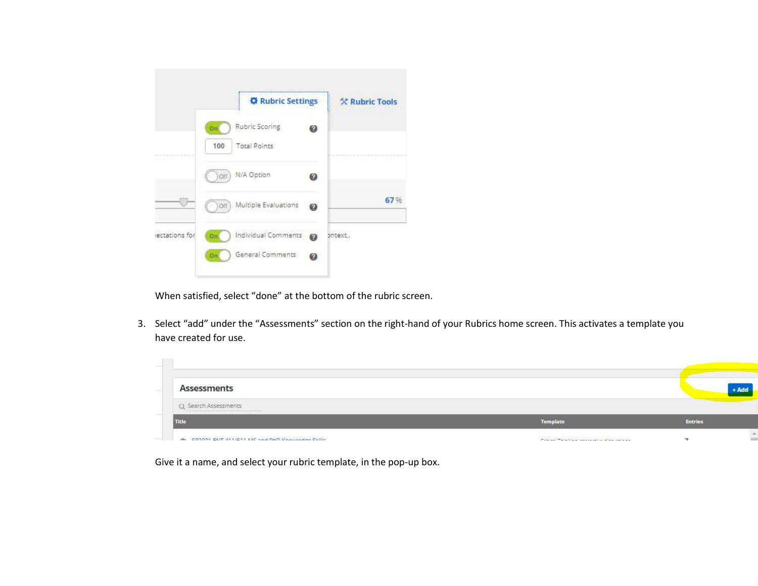

When satisfied, select "done" at the bottom of the rubric screen.

3. Select "add" under the "Assessments" section on the right-hand of your Rubrics home screen. This activates a template you have created for use.



Give it a name, and select your rubric template, in the pop-up box.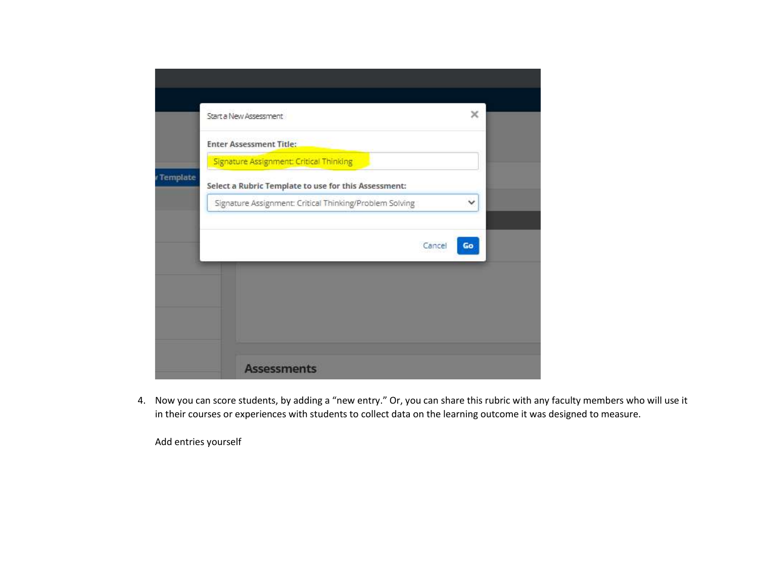|            | ×<br>Start a New Assessment                                                                     |  |
|------------|-------------------------------------------------------------------------------------------------|--|
|            | <b>Enter Assessment Title:</b>                                                                  |  |
| v Template | Signature Assignment: Critical Thinking<br>Select a Rubric Template to use for this Assessment: |  |
|            | Signature Assignment: Critical Thinking/Problem Solving<br>v                                    |  |
|            | Cancel<br>Go                                                                                    |  |
|            |                                                                                                 |  |
|            |                                                                                                 |  |
|            |                                                                                                 |  |
|            | <b>Assessments</b>                                                                              |  |

4. Now you can score students, by adding a "new entry." Or, you can share this rubric with any faculty members who will use it in their courses or experiences with students to collect data on the learning outcome it was designed to measure.

Add entries yourself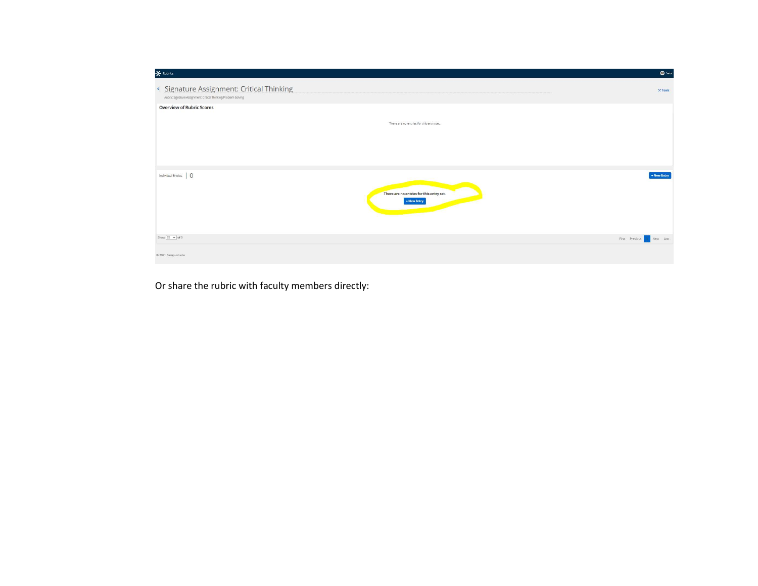| $\frac{1}{2}$ Rubrics                                                                                       |                                                         | $\bullet$ Sara             |
|-------------------------------------------------------------------------------------------------------------|---------------------------------------------------------|----------------------------|
| < Signature Assignment: Critical Thinking<br>Rubric Signature Assignment: Critical Thinking/Problem Solving |                                                         | $%$ Tools                  |
| <b>Overview of Rubric Scores</b>                                                                            |                                                         |                            |
|                                                                                                             | There are no entries for this entry set.                |                            |
|                                                                                                             |                                                         |                            |
|                                                                                                             |                                                         |                            |
| Individual Entries   0                                                                                      | There are no entries for this entry set.<br>+ New Entry | + New Entry                |
| Show $25 \times$ of 0                                                                                       |                                                         | First Previous I Next Last |
| C 2021 Campus Labs                                                                                          |                                                         |                            |

Or share the rubric with faculty members directly: